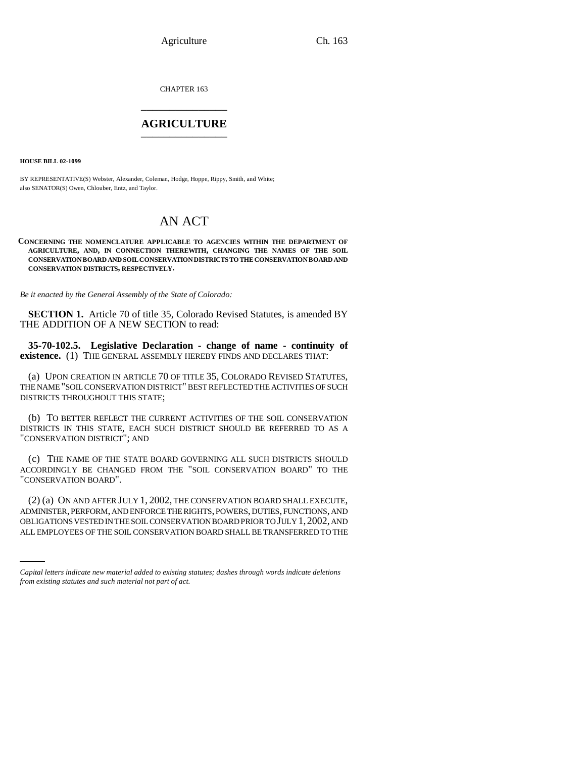CHAPTER 163 \_\_\_\_\_\_\_\_\_\_\_\_\_\_\_

### **AGRICULTURE** \_\_\_\_\_\_\_\_\_\_\_\_\_\_\_

**HOUSE BILL 02-1099**

BY REPRESENTATIVE(S) Webster, Alexander, Coleman, Hodge, Hoppe, Rippy, Smith, and White; also SENATOR(S) Owen, Chlouber, Entz, and Taylor.

# AN ACT

**CONCERNING THE NOMENCLATURE APPLICABLE TO AGENCIES WITHIN THE DEPARTMENT OF AGRICULTURE, AND, IN CONNECTION THEREWITH, CHANGING THE NAMES OF THE SOIL CONSERVATION BOARD AND SOIL CONSERVATION DISTRICTS TO THE CONSERVATION BOARD AND CONSERVATION DISTRICTS, RESPECTIVELY.**

*Be it enacted by the General Assembly of the State of Colorado:*

**SECTION 1.** Article 70 of title 35, Colorado Revised Statutes, is amended BY THE ADDITION OF A NEW SECTION to read:

**35-70-102.5. Legislative Declaration - change of name - continuity of existence.** (1) THE GENERAL ASSEMBLY HEREBY FINDS AND DECLARES THAT:

(a) UPON CREATION IN ARTICLE 70 OF TITLE 35, COLORADO REVISED STATUTES, THE NAME "SOIL CONSERVATION DISTRICT" BEST REFLECTED THE ACTIVITIES OF SUCH DISTRICTS THROUGHOUT THIS STATE;

(b) TO BETTER REFLECT THE CURRENT ACTIVITIES OF THE SOIL CONSERVATION DISTRICTS IN THIS STATE, EACH SUCH DISTRICT SHOULD BE REFERRED TO AS A "CONSERVATION DISTRICT"; AND

(c) THE NAME OF THE STATE BOARD GOVERNING ALL SUCH DISTRICTS SHOULD ACCORDINGLY BE CHANGED FROM THE "SOIL CONSERVATION BOARD" TO THE "CONSERVATION BOARD".

ADMINISTER, PERFORM, AND ENFORCE THE RIGHTS, POWERS, DUTIES, FUNCTIONS, AND (2) (a) ON AND AFTER JULY 1, 2002, THE CONSERVATION BOARD SHALL EXECUTE, OBLIGATIONS VESTED IN THE SOIL CONSERVATION BOARD PRIOR TO JULY 1,2002, AND ALL EMPLOYEES OF THE SOIL CONSERVATION BOARD SHALL BE TRANSFERRED TO THE

*Capital letters indicate new material added to existing statutes; dashes through words indicate deletions from existing statutes and such material not part of act.*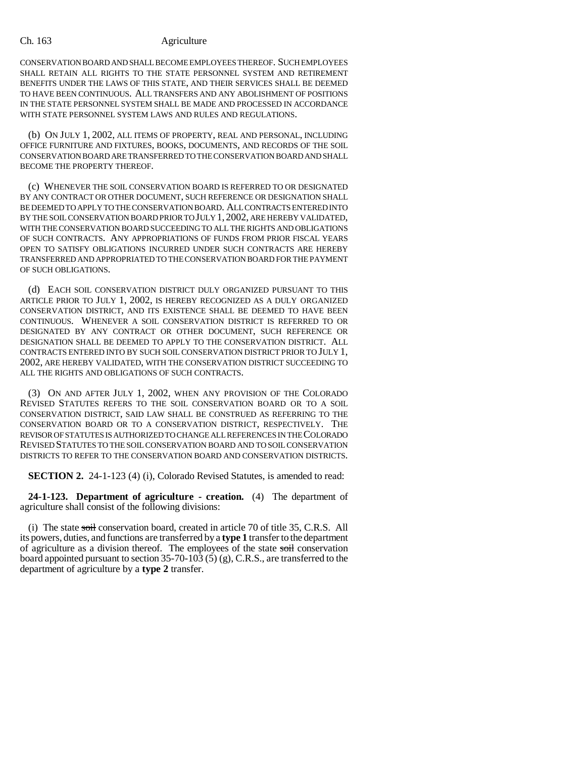CONSERVATION BOARD AND SHALL BECOME EMPLOYEES THEREOF. SUCH EMPLOYEES SHALL RETAIN ALL RIGHTS TO THE STATE PERSONNEL SYSTEM AND RETIREMENT BENEFITS UNDER THE LAWS OF THIS STATE, AND THEIR SERVICES SHALL BE DEEMED TO HAVE BEEN CONTINUOUS. ALL TRANSFERS AND ANY ABOLISHMENT OF POSITIONS IN THE STATE PERSONNEL SYSTEM SHALL BE MADE AND PROCESSED IN ACCORDANCE WITH STATE PERSONNEL SYSTEM LAWS AND RULES AND REGULATIONS.

(b) ON JULY 1, 2002, ALL ITEMS OF PROPERTY, REAL AND PERSONAL, INCLUDING OFFICE FURNITURE AND FIXTURES, BOOKS, DOCUMENTS, AND RECORDS OF THE SOIL CONSERVATION BOARD ARE TRANSFERRED TO THE CONSERVATION BOARD AND SHALL BECOME THE PROPERTY THEREOF.

(c) WHENEVER THE SOIL CONSERVATION BOARD IS REFERRED TO OR DESIGNATED BY ANY CONTRACT OR OTHER DOCUMENT, SUCH REFERENCE OR DESIGNATION SHALL BE DEEMED TO APPLY TO THE CONSERVATION BOARD. ALL CONTRACTS ENTERED INTO BY THE SOIL CONSERVATION BOARD PRIOR TO JULY 1, 2002, ARE HEREBY VALIDATED, WITH THE CONSERVATION BOARD SUCCEEDING TO ALL THE RIGHTS AND OBLIGATIONS OF SUCH CONTRACTS. ANY APPROPRIATIONS OF FUNDS FROM PRIOR FISCAL YEARS OPEN TO SATISFY OBLIGATIONS INCURRED UNDER SUCH CONTRACTS ARE HEREBY TRANSFERRED AND APPROPRIATED TO THE CONSERVATION BOARD FOR THE PAYMENT OF SUCH OBLIGATIONS.

(d) EACH SOIL CONSERVATION DISTRICT DULY ORGANIZED PURSUANT TO THIS ARTICLE PRIOR TO JULY 1, 2002, IS HEREBY RECOGNIZED AS A DULY ORGANIZED CONSERVATION DISTRICT, AND ITS EXISTENCE SHALL BE DEEMED TO HAVE BEEN CONTINUOUS. WHENEVER A SOIL CONSERVATION DISTRICT IS REFERRED TO OR DESIGNATED BY ANY CONTRACT OR OTHER DOCUMENT, SUCH REFERENCE OR DESIGNATION SHALL BE DEEMED TO APPLY TO THE CONSERVATION DISTRICT. ALL CONTRACTS ENTERED INTO BY SUCH SOIL CONSERVATION DISTRICT PRIOR TO JULY 1, 2002, ARE HEREBY VALIDATED, WITH THE CONSERVATION DISTRICT SUCCEEDING TO ALL THE RIGHTS AND OBLIGATIONS OF SUCH CONTRACTS.

(3) ON AND AFTER JULY 1, 2002, WHEN ANY PROVISION OF THE COLORADO REVISED STATUTES REFERS TO THE SOIL CONSERVATION BOARD OR TO A SOIL CONSERVATION DISTRICT, SAID LAW SHALL BE CONSTRUED AS REFERRING TO THE CONSERVATION BOARD OR TO A CONSERVATION DISTRICT, RESPECTIVELY. THE REVISOR OF STATUTES IS AUTHORIZED TO CHANGE ALL REFERENCES IN THE COLORADO REVISED STATUTES TO THE SOIL CONSERVATION BOARD AND TO SOIL CONSERVATION DISTRICTS TO REFER TO THE CONSERVATION BOARD AND CONSERVATION DISTRICTS.

**SECTION 2.** 24-1-123 (4) (i), Colorado Revised Statutes, is amended to read:

**24-1-123. Department of agriculture - creation.** (4) The department of agriculture shall consist of the following divisions:

(i) The state  $s$ oil conservation board, created in article 70 of title 35, C.R.S. All its powers, duties, and functions are transferred by a **type 1** transfer to the department of agriculture as a division thereof. The employees of the state soil conservation board appointed pursuant to section 35-70-103 (5) (g), C.R.S., are transferred to the department of agriculture by a **type 2** transfer.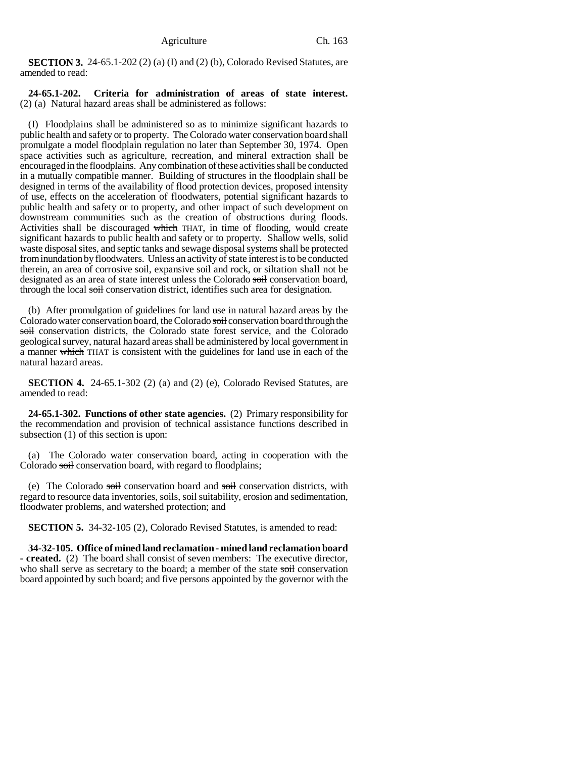**SECTION 3.** 24-65.1-202 (2) (a) (I) and (2) (b), Colorado Revised Statutes, are amended to read:

### **24-65.1-202. Criteria for administration of areas of state interest.** (2) (a) Natural hazard areas shall be administered as follows:

(I) Floodplains shall be administered so as to minimize significant hazards to public health and safety or to property. The Colorado water conservation board shall promulgate a model floodplain regulation no later than September 30, 1974. Open space activities such as agriculture, recreation, and mineral extraction shall be encouraged in the floodplains. Any combination of these activities shall be conducted in a mutually compatible manner. Building of structures in the floodplain shall be designed in terms of the availability of flood protection devices, proposed intensity of use, effects on the acceleration of floodwaters, potential significant hazards to public health and safety or to property, and other impact of such development on downstream communities such as the creation of obstructions during floods. Activities shall be discouraged which THAT, in time of flooding, would create significant hazards to public health and safety or to property. Shallow wells, solid waste disposal sites, and septic tanks and sewage disposal systems shall be protected from inundation by floodwaters. Unless an activity of state interest is to be conducted therein, an area of corrosive soil, expansive soil and rock, or siltation shall not be designated as an area of state interest unless the Colorado soil conservation board, through the local soil conservation district, identifies such area for designation.

(b) After promulgation of guidelines for land use in natural hazard areas by the Colorado water conservation board, the Colorado soil conservation board through the soil conservation districts, the Colorado state forest service, and the Colorado geological survey, natural hazard areas shall be administered by local government in a manner which THAT is consistent with the guidelines for land use in each of the natural hazard areas.

**SECTION 4.** 24-65.1-302 (2) (a) and (2) (e), Colorado Revised Statutes, are amended to read:

**24-65.1-302. Functions of other state agencies.** (2) Primary responsibility for the recommendation and provision of technical assistance functions described in subsection (1) of this section is upon:

(a) The Colorado water conservation board, acting in cooperation with the Colorado soil conservation board, with regard to floodplains;

(e) The Colorado soil conservation board and soil conservation districts, with regard to resource data inventories, soils, soil suitability, erosion and sedimentation, floodwater problems, and watershed protection; and

**SECTION 5.** 34-32-105 (2), Colorado Revised Statutes, is amended to read:

**34-32-105. Office of mined land reclamation - mined land reclamation board - created.** (2) The board shall consist of seven members: The executive director, who shall serve as secretary to the board; a member of the state soil conservation board appointed by such board; and five persons appointed by the governor with the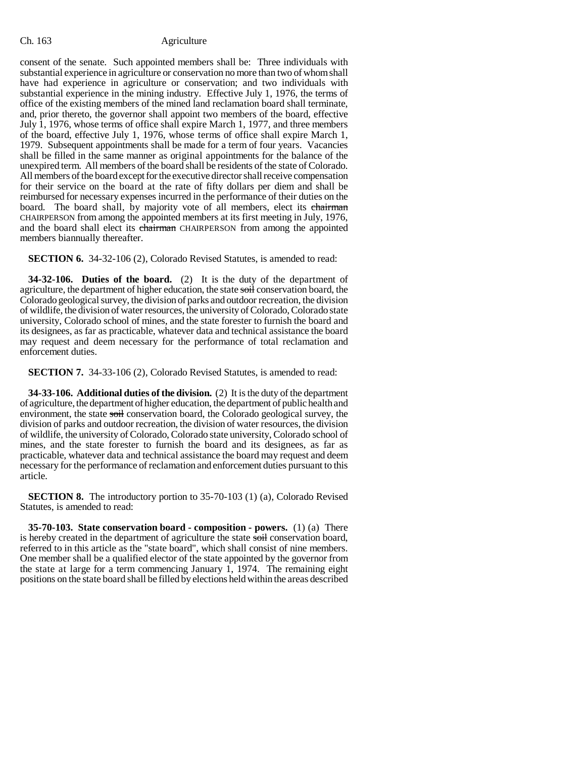consent of the senate. Such appointed members shall be: Three individuals with substantial experience in agriculture or conservation no more than two of whom shall have had experience in agriculture or conservation; and two individuals with substantial experience in the mining industry. Effective July 1, 1976, the terms of office of the existing members of the mined land reclamation board shall terminate, and, prior thereto, the governor shall appoint two members of the board, effective July 1, 1976, whose terms of office shall expire March 1, 1977, and three members of the board, effective July 1, 1976, whose terms of office shall expire March 1, 1979. Subsequent appointments shall be made for a term of four years. Vacancies shall be filled in the same manner as original appointments for the balance of the unexpired term. All members of the board shall be residents of the state of Colorado. All members of the board except for the executive director shall receive compensation for their service on the board at the rate of fifty dollars per diem and shall be reimbursed for necessary expenses incurred in the performance of their duties on the board. The board shall, by majority vote of all members, elect its chairman CHAIRPERSON from among the appointed members at its first meeting in July, 1976, and the board shall elect its chairman CHAIRPERSON from among the appointed members biannually thereafter.

**SECTION 6.** 34-32-106 (2), Colorado Revised Statutes, is amended to read:

**34-32-106. Duties of the board.** (2) It is the duty of the department of agriculture, the department of higher education, the state soil conservation board, the Colorado geological survey, the division of parks and outdoor recreation, the division of wildlife, the division of water resources, the university of Colorado, Colorado state university, Colorado school of mines, and the state forester to furnish the board and its designees, as far as practicable, whatever data and technical assistance the board may request and deem necessary for the performance of total reclamation and enforcement duties.

**SECTION 7.** 34-33-106 (2), Colorado Revised Statutes, is amended to read:

**34-33-106. Additional duties of the division.** (2) It is the duty of the department of agriculture, the department of higher education, the department of public health and environment, the state soil conservation board, the Colorado geological survey, the division of parks and outdoor recreation, the division of water resources, the division of wildlife, the university of Colorado, Colorado state university, Colorado school of mines, and the state forester to furnish the board and its designees, as far as practicable, whatever data and technical assistance the board may request and deem necessary for the performance of reclamation and enforcement duties pursuant to this article.

**SECTION 8.** The introductory portion to 35-70-103 (1) (a), Colorado Revised Statutes, is amended to read:

**35-70-103. State conservation board - composition - powers.** (1) (a) There is hereby created in the department of agriculture the state soil conservation board, referred to in this article as the "state board", which shall consist of nine members. One member shall be a qualified elector of the state appointed by the governor from the state at large for a term commencing January 1, 1974. The remaining eight positions on the state board shall be filled by elections held within the areas described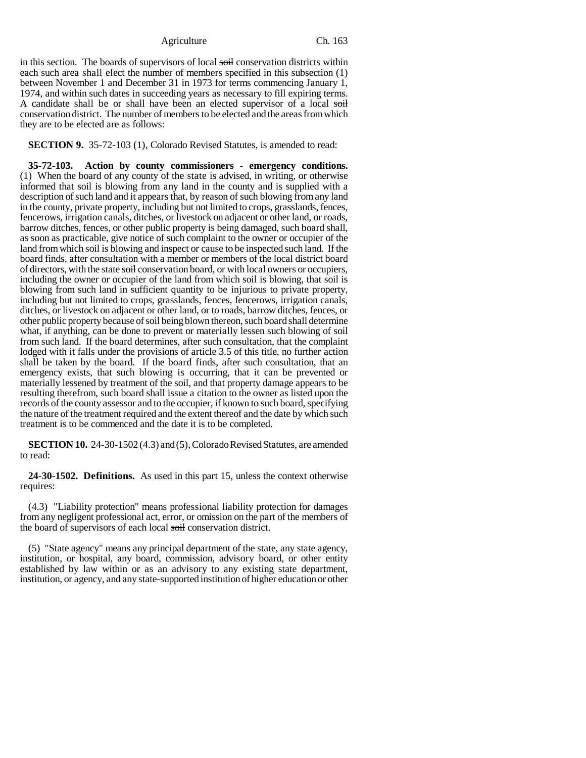in this section. The boards of supervisors of local soil conservation districts within each such area shall elect the number of members specified in this subsection (1) between November 1 and December 31 in 1973 for terms commencing January 1, 1974, and within such dates in succeeding years as necessary to fill expiring terms. A candidate shall be or shall have been an elected supervisor of a local soil conservation district. The number of members to be elected and the areas from which they are to be elected are as follows:

**SECTION 9.** 35-72-103 (1), Colorado Revised Statutes, is amended to read:

**35-72-103. Action by county commissioners - emergency conditions.** (1) When the board of any county of the state is advised, in writing, or otherwise informed that soil is blowing from any land in the county and is supplied with a description of such land and it appears that, by reason of such blowing from any land in the county, private property, including but not limited to crops, grasslands, fences, fencerows, irrigation canals, ditches, or livestock on adjacent or other land, or roads, barrow ditches, fences, or other public property is being damaged, such board shall, as soon as practicable, give notice of such complaint to the owner or occupier of the land from which soil is blowing and inspect or cause to be inspected such land. If the board finds, after consultation with a member or members of the local district board of directors, with the state soil conservation board, or with local owners or occupiers, including the owner or occupier of the land from which soil is blowing, that soil is blowing from such land in sufficient quantity to be injurious to private property, including but not limited to crops, grasslands, fences, fencerows, irrigation canals, ditches, or livestock on adjacent or other land, or to roads, barrow ditches, fences, or other public property because of soil being blown thereon, such board shall determine what, if anything, can be done to prevent or materially lessen such blowing of soil from such land. If the board determines, after such consultation, that the complaint lodged with it falls under the provisions of article 3.5 of this title, no further action shall be taken by the board. If the board finds, after such consultation, that an emergency exists, that such blowing is occurring, that it can be prevented or materially lessened by treatment of the soil, and that property damage appears to be resulting therefrom, such board shall issue a citation to the owner as listed upon the records of the county assessor and to the occupier, if known to such board, specifying the nature of the treatment required and the extent thereof and the date by which such treatment is to be commenced and the date it is to be completed.

**SECTION 10.** 24-30-1502 (4.3) and (5), Colorado Revised Statutes, are amended to read:

**24-30-1502. Definitions.** As used in this part 15, unless the context otherwise requires:

(4.3) "Liability protection" means professional liability protection for damages from any negligent professional act, error, or omission on the part of the members of the board of supervisors of each local soil conservation district.

(5) "State agency" means any principal department of the state, any state agency, institution, or hospital, any board, commission, advisory board, or other entity established by law within or as an advisory to any existing state department, institution, or agency, and any state-supported institution of higher education or other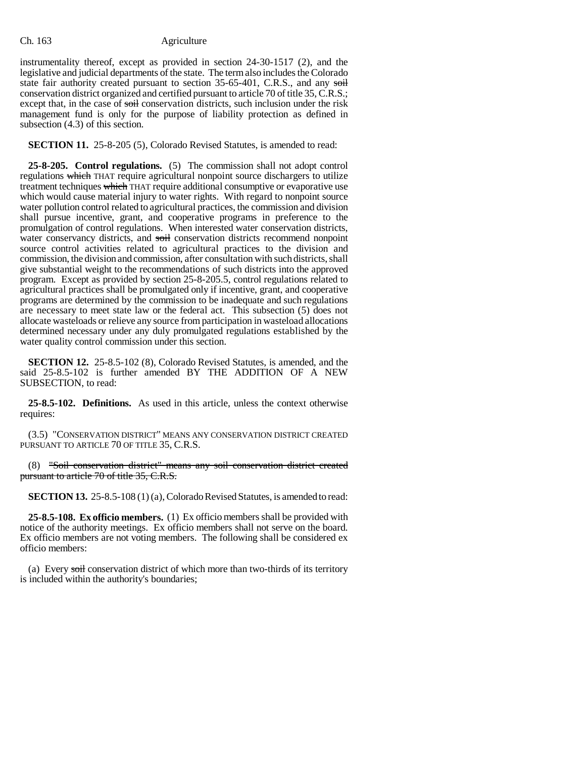instrumentality thereof, except as provided in section 24-30-1517 (2), and the legislative and judicial departments of the state. The term also includes the Colorado state fair authority created pursuant to section 35-65-401, C.R.S., and any soil conservation district organized and certified pursuant to article 70 of title 35, C.R.S.; except that, in the case of soil conservation districts, such inclusion under the risk management fund is only for the purpose of liability protection as defined in subsection (4.3) of this section.

**SECTION 11.** 25-8-205 (5), Colorado Revised Statutes, is amended to read:

**25-8-205. Control regulations.** (5) The commission shall not adopt control regulations which THAT require agricultural nonpoint source dischargers to utilize treatment techniques which THAT require additional consumptive or evaporative use which would cause material injury to water rights. With regard to nonpoint source water pollution control related to agricultural practices, the commission and division shall pursue incentive, grant, and cooperative programs in preference to the promulgation of control regulations. When interested water conservation districts, water conservancy districts, and soil conservation districts recommend nonpoint source control activities related to agricultural practices to the division and commission, the division and commission, after consultation with such districts, shall give substantial weight to the recommendations of such districts into the approved program. Except as provided by section 25-8-205.5, control regulations related to agricultural practices shall be promulgated only if incentive, grant, and cooperative programs are determined by the commission to be inadequate and such regulations are necessary to meet state law or the federal act. This subsection (5) does not allocate wasteloads or relieve any source from participation in wasteload allocations determined necessary under any duly promulgated regulations established by the water quality control commission under this section.

**SECTION 12.** 25-8.5-102 (8), Colorado Revised Statutes, is amended, and the said 25-8.5-102 is further amended BY THE ADDITION OF A NEW SUBSECTION, to read:

**25-8.5-102. Definitions.** As used in this article, unless the context otherwise requires:

(3.5) "CONSERVATION DISTRICT" MEANS ANY CONSERVATION DISTRICT CREATED PURSUANT TO ARTICLE 70 OF TITLE 35, C.R.S.

(8) "Soil conservation district" means any soil conservation district created pursuant to article 70 of title 35, C.R.S.

**SECTION 13.** 25-8.5-108 (1) (a), Colorado Revised Statutes, is amended to read:

**25-8.5-108. Ex officio members.** (1) Ex officio members shall be provided with notice of the authority meetings. Ex officio members shall not serve on the board. Ex officio members are not voting members. The following shall be considered ex officio members:

(a) Every soil conservation district of which more than two-thirds of its territory is included within the authority's boundaries;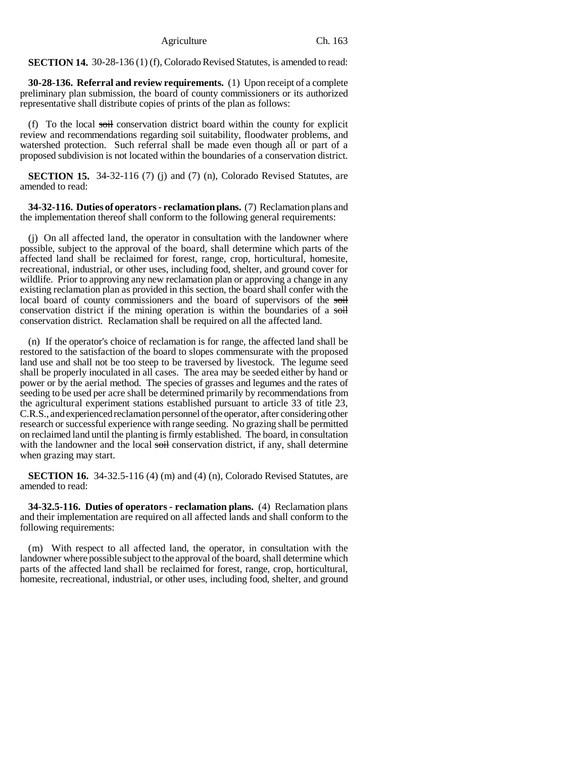**SECTION 14.** 30-28-136 (1) (f), Colorado Revised Statutes, is amended to read:

**30-28-136. Referral and review requirements.** (1) Upon receipt of a complete preliminary plan submission, the board of county commissioners or its authorized representative shall distribute copies of prints of the plan as follows:

(f) To the local soil conservation district board within the county for explicit review and recommendations regarding soil suitability, floodwater problems, and watershed protection. Such referral shall be made even though all or part of a proposed subdivision is not located within the boundaries of a conservation district.

**SECTION 15.** 34-32-116 (7) (i) and (7) (n), Colorado Revised Statutes, are amended to read:

**34-32-116. Duties of operators - reclamation plans.** (7) Reclamation plans and the implementation thereof shall conform to the following general requirements:

(j) On all affected land, the operator in consultation with the landowner where possible, subject to the approval of the board, shall determine which parts of the affected land shall be reclaimed for forest, range, crop, horticultural, homesite, recreational, industrial, or other uses, including food, shelter, and ground cover for wildlife. Prior to approving any new reclamation plan or approving a change in any existing reclamation plan as provided in this section, the board shall confer with the local board of county commissioners and the board of supervisors of the soil conservation district if the mining operation is within the boundaries of a soil conservation district. Reclamation shall be required on all the affected land.

(n) If the operator's choice of reclamation is for range, the affected land shall be restored to the satisfaction of the board to slopes commensurate with the proposed land use and shall not be too steep to be traversed by livestock. The legume seed shall be properly inoculated in all cases. The area may be seeded either by hand or power or by the aerial method. The species of grasses and legumes and the rates of seeding to be used per acre shall be determined primarily by recommendations from the agricultural experiment stations established pursuant to article 33 of title 23, C.R.S., and experienced reclamation personnel of the operator, after considering other research or successful experience with range seeding. No grazing shall be permitted on reclaimed land until the planting is firmly established. The board, in consultation with the landowner and the local soil conservation district, if any, shall determine when grazing may start.

**SECTION 16.** 34-32.5-116 (4) (m) and (4) (n), Colorado Revised Statutes, are amended to read:

**34-32.5-116. Duties of operators - reclamation plans.** (4) Reclamation plans and their implementation are required on all affected lands and shall conform to the following requirements:

(m) With respect to all affected land, the operator, in consultation with the landowner where possible subject to the approval of the board, shall determine which parts of the affected land shall be reclaimed for forest, range, crop, horticultural, homesite, recreational, industrial, or other uses, including food, shelter, and ground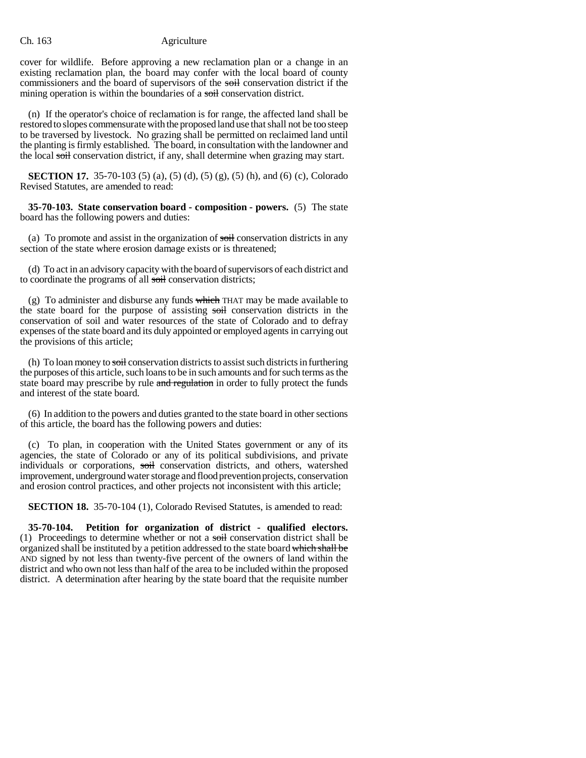cover for wildlife. Before approving a new reclamation plan or a change in an existing reclamation plan, the board may confer with the local board of county commissioners and the board of supervisors of the soil conservation district if the mining operation is within the boundaries of a soil conservation district.

(n) If the operator's choice of reclamation is for range, the affected land shall be restored to slopes commensurate with the proposed land use that shall not be too steep to be traversed by livestock. No grazing shall be permitted on reclaimed land until the planting is firmly established. The board, in consultation with the landowner and the local soil conservation district, if any, shall determine when grazing may start.

**SECTION 17.** 35-70-103 (5) (a), (5) (d), (5) (g), (5) (h), and (6) (c), Colorado Revised Statutes, are amended to read:

**35-70-103. State conservation board - composition - powers.** (5) The state board has the following powers and duties:

(a) To promote and assist in the organization of soil conservation districts in any section of the state where erosion damage exists or is threatened;

(d) To act in an advisory capacity with the board of supervisors of each district and to coordinate the programs of all soil conservation districts;

(g) To administer and disburse any funds which THAT may be made available to the state board for the purpose of assisting soil conservation districts in the conservation of soil and water resources of the state of Colorado and to defray expenses of the state board and its duly appointed or employed agents in carrying out the provisions of this article;

(h) To loan money to soil conservation districts to assist such districts in furthering the purposes of this article, such loans to be in such amounts and for such terms as the state board may prescribe by rule and regulation in order to fully protect the funds and interest of the state board.

(6) In addition to the powers and duties granted to the state board in other sections of this article, the board has the following powers and duties:

(c) To plan, in cooperation with the United States government or any of its agencies, the state of Colorado or any of its political subdivisions, and private individuals or corporations, soil conservation districts, and others, watershed improvement, underground water storage and flood prevention projects, conservation and erosion control practices, and other projects not inconsistent with this article;

**SECTION 18.** 35-70-104 (1), Colorado Revised Statutes, is amended to read:

**35-70-104. Petition for organization of district - qualified electors.** (1) Proceedings to determine whether or not a soil conservation district shall be organized shall be instituted by a petition addressed to the state board which shall be AND signed by not less than twenty-five percent of the owners of land within the district and who own not less than half of the area to be included within the proposed district. A determination after hearing by the state board that the requisite number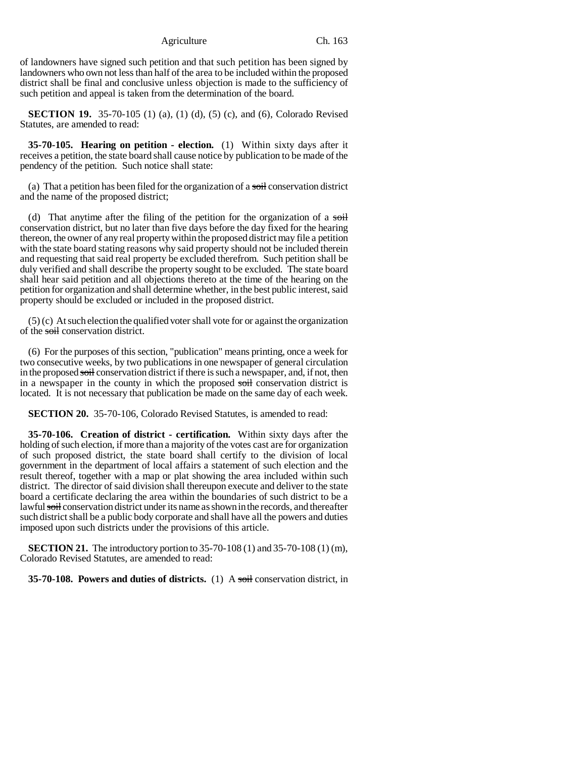of landowners have signed such petition and that such petition has been signed by landowners who own not less than half of the area to be included within the proposed district shall be final and conclusive unless objection is made to the sufficiency of such petition and appeal is taken from the determination of the board.

**SECTION 19.** 35-70-105 (1) (a), (1) (d), (5) (c), and (6), Colorado Revised Statutes, are amended to read:

**35-70-105. Hearing on petition - election.** (1) Within sixty days after it receives a petition, the state board shall cause notice by publication to be made of the pendency of the petition. Such notice shall state:

(a) That a petition has been filed for the organization of a soil conservation district and the name of the proposed district;

(d) That anytime after the filing of the petition for the organization of a soil conservation district, but no later than five days before the day fixed for the hearing thereon, the owner of any real property within the proposed district may file a petition with the state board stating reasons why said property should not be included therein and requesting that said real property be excluded therefrom. Such petition shall be duly verified and shall describe the property sought to be excluded. The state board shall hear said petition and all objections thereto at the time of the hearing on the petition for organization and shall determine whether, in the best public interest, said property should be excluded or included in the proposed district.

(5) (c) At such election the qualified voter shall vote for or against the organization of the soil conservation district.

(6) For the purposes of this section, "publication" means printing, once a week for two consecutive weeks, by two publications in one newspaper of general circulation in the proposed soil conservation district if there is such a newspaper, and, if not, then in a newspaper in the county in which the proposed soil conservation district is located. It is not necessary that publication be made on the same day of each week.

**SECTION 20.** 35-70-106, Colorado Revised Statutes, is amended to read:

**35-70-106. Creation of district - certification.** Within sixty days after the holding of such election, if more than a majority of the votes cast are for organization of such proposed district, the state board shall certify to the division of local government in the department of local affairs a statement of such election and the result thereof, together with a map or plat showing the area included within such district. The director of said division shall thereupon execute and deliver to the state board a certificate declaring the area within the boundaries of such district to be a lawful soil conservation district under its name as shown in the records, and thereafter such district shall be a public body corporate and shall have all the powers and duties imposed upon such districts under the provisions of this article.

**SECTION 21.** The introductory portion to 35-70-108 (1) and 35-70-108 (1) (m), Colorado Revised Statutes, are amended to read:

**35-70-108. Powers and duties of districts.** (1) A soil conservation district, in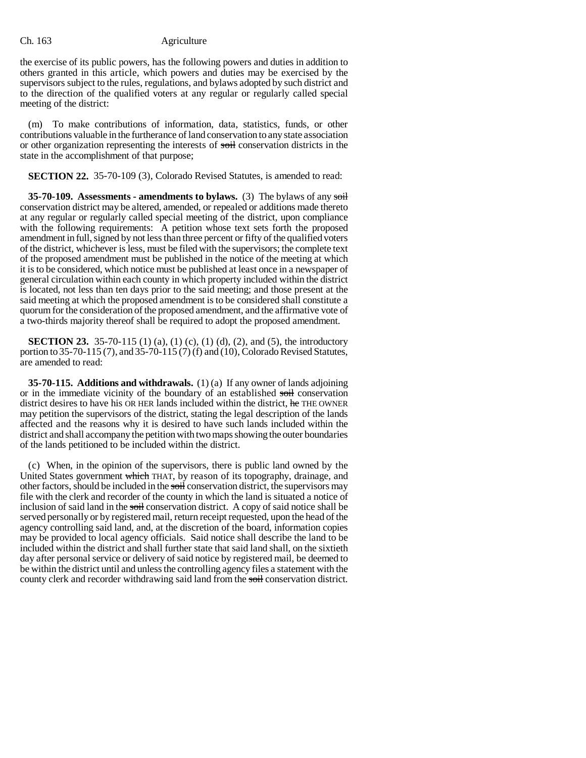the exercise of its public powers, has the following powers and duties in addition to others granted in this article, which powers and duties may be exercised by the supervisors subject to the rules, regulations, and bylaws adopted by such district and to the direction of the qualified voters at any regular or regularly called special meeting of the district:

(m) To make contributions of information, data, statistics, funds, or other contributions valuable in the furtherance of land conservation to any state association or other organization representing the interests of soil conservation districts in the state in the accomplishment of that purpose;

**SECTION 22.** 35-70-109 (3), Colorado Revised Statutes, is amended to read:

**35-70-109.** Assessments - amendments to bylaws. (3) The bylaws of any soil conservation district may be altered, amended, or repealed or additions made thereto at any regular or regularly called special meeting of the district, upon compliance with the following requirements: A petition whose text sets forth the proposed amendment in full, signed by not less than three percent or fifty of the qualified voters of the district, whichever is less, must be filed with the supervisors; the complete text of the proposed amendment must be published in the notice of the meeting at which it is to be considered, which notice must be published at least once in a newspaper of general circulation within each county in which property included within the district is located, not less than ten days prior to the said meeting; and those present at the said meeting at which the proposed amendment is to be considered shall constitute a quorum for the consideration of the proposed amendment, and the affirmative vote of a two-thirds majority thereof shall be required to adopt the proposed amendment.

**SECTION 23.** 35-70-115 (1) (a), (1) (c), (1) (d), (2), and (5), the introductory portion to 35-70-115 (7), and 35-70-115 (7) (f) and (10), Colorado Revised Statutes, are amended to read:

**35-70-115. Additions and withdrawals.** (1) (a) If any owner of lands adjoining or in the immediate vicinity of the boundary of an established soil conservation district desires to have his OR HER lands included within the district, he THE OWNER may petition the supervisors of the district, stating the legal description of the lands affected and the reasons why it is desired to have such lands included within the district and shall accompany the petition with two maps showing the outer boundaries of the lands petitioned to be included within the district.

(c) When, in the opinion of the supervisors, there is public land owned by the United States government which THAT, by reason of its topography, drainage, and other factors, should be included in the soil conservation district, the supervisors may file with the clerk and recorder of the county in which the land is situated a notice of inclusion of said land in the soil conservation district. A copy of said notice shall be served personally or by registered mail, return receipt requested, upon the head of the agency controlling said land, and, at the discretion of the board, information copies may be provided to local agency officials. Said notice shall describe the land to be included within the district and shall further state that said land shall, on the sixtieth day after personal service or delivery of said notice by registered mail, be deemed to be within the district until and unless the controlling agency files a statement with the county clerk and recorder withdrawing said land from the soil conservation district.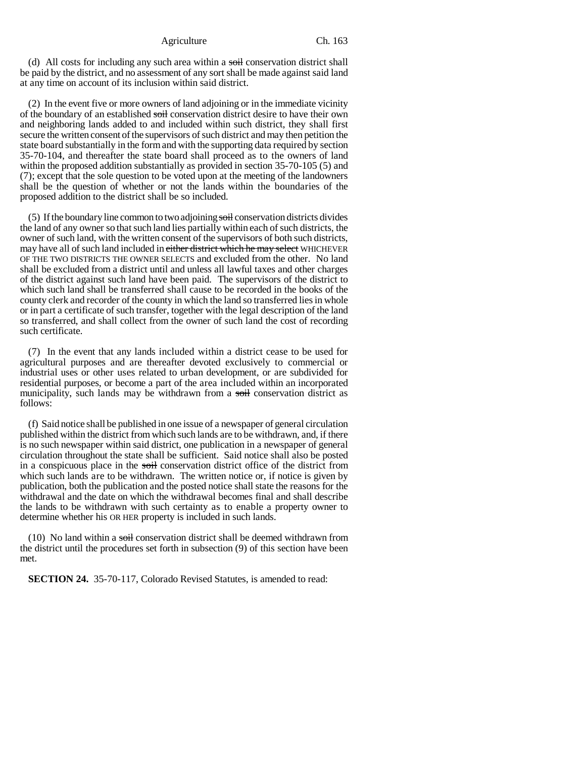(d) All costs for including any such area within a soil conservation district shall be paid by the district, and no assessment of any sort shall be made against said land at any time on account of its inclusion within said district.

(2) In the event five or more owners of land adjoining or in the immediate vicinity of the boundary of an established soil conservation district desire to have their own and neighboring lands added to and included within such district, they shall first secure the written consent of the supervisors of such district and may then petition the state board substantially in the form and with the supporting data required by section 35-70-104, and thereafter the state board shall proceed as to the owners of land within the proposed addition substantially as provided in section 35-70-105 (5) and (7); except that the sole question to be voted upon at the meeting of the landowners shall be the question of whether or not the lands within the boundaries of the proposed addition to the district shall be so included.

(5) If the boundary line common to two adjoining soil conservation districts divides the land of any owner so that such land lies partially within each of such districts, the owner of such land, with the written consent of the supervisors of both such districts, may have all of such land included in either district which he may select WHICHEVER OF THE TWO DISTRICTS THE OWNER SELECTS and excluded from the other. No land shall be excluded from a district until and unless all lawful taxes and other charges of the district against such land have been paid. The supervisors of the district to which such land shall be transferred shall cause to be recorded in the books of the county clerk and recorder of the county in which the land so transferred lies in whole or in part a certificate of such transfer, together with the legal description of the land so transferred, and shall collect from the owner of such land the cost of recording such certificate.

(7) In the event that any lands included within a district cease to be used for agricultural purposes and are thereafter devoted exclusively to commercial or industrial uses or other uses related to urban development, or are subdivided for residential purposes, or become a part of the area included within an incorporated municipality, such lands may be withdrawn from a soil conservation district as follows:

(f) Said notice shall be published in one issue of a newspaper of general circulation published within the district from which such lands are to be withdrawn, and, if there is no such newspaper within said district, one publication in a newspaper of general circulation throughout the state shall be sufficient. Said notice shall also be posted in a conspicuous place in the soil conservation district office of the district from which such lands are to be withdrawn. The written notice or, if notice is given by publication, both the publication and the posted notice shall state the reasons for the withdrawal and the date on which the withdrawal becomes final and shall describe the lands to be withdrawn with such certainty as to enable a property owner to determine whether his OR HER property is included in such lands.

 $(10)$  No land within a soil conservation district shall be deemed withdrawn from the district until the procedures set forth in subsection (9) of this section have been met.

**SECTION 24.** 35-70-117, Colorado Revised Statutes, is amended to read: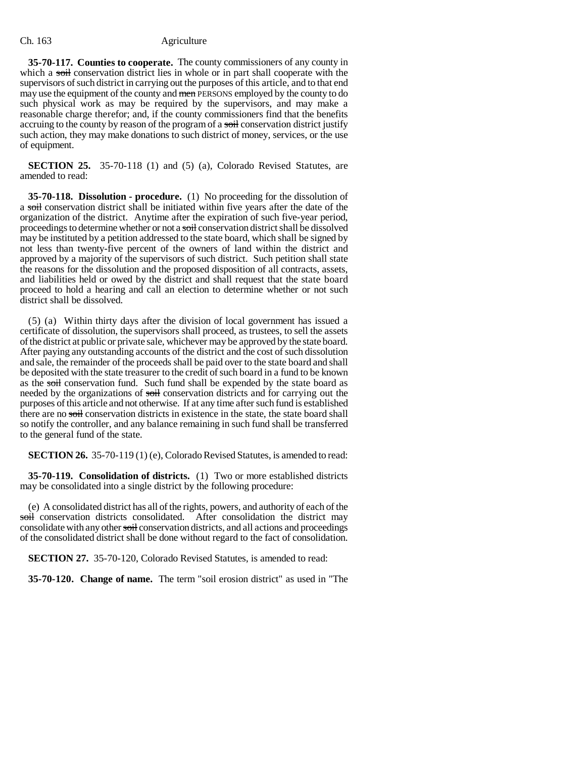**35-70-117. Counties to cooperate.** The county commissioners of any county in which a soil conservation district lies in whole or in part shall cooperate with the supervisors of such district in carrying out the purposes of this article, and to that end may use the equipment of the county and men PERSONS employed by the county to do such physical work as may be required by the supervisors, and may make a reasonable charge therefor; and, if the county commissioners find that the benefits accruing to the county by reason of the program of a soil conservation district justify such action, they may make donations to such district of money, services, or the use of equipment.

**SECTION 25.** 35-70-118 (1) and (5) (a), Colorado Revised Statutes, are amended to read:

**35-70-118. Dissolution - procedure.** (1) No proceeding for the dissolution of a soil conservation district shall be initiated within five years after the date of the organization of the district. Anytime after the expiration of such five-year period, proceedings to determine whether or not a soil conservation district shall be dissolved may be instituted by a petition addressed to the state board, which shall be signed by not less than twenty-five percent of the owners of land within the district and approved by a majority of the supervisors of such district. Such petition shall state the reasons for the dissolution and the proposed disposition of all contracts, assets, and liabilities held or owed by the district and shall request that the state board proceed to hold a hearing and call an election to determine whether or not such district shall be dissolved.

(5) (a) Within thirty days after the division of local government has issued a certificate of dissolution, the supervisors shall proceed, as trustees, to sell the assets of the district at public or private sale, whichever may be approved by the state board. After paying any outstanding accounts of the district and the cost of such dissolution and sale, the remainder of the proceeds shall be paid over to the state board and shall be deposited with the state treasurer to the credit of such board in a fund to be known as the soil conservation fund. Such fund shall be expended by the state board as needed by the organizations of soil conservation districts and for carrying out the purposes of this article and not otherwise. If at any time after such fund is established there are no soil conservation districts in existence in the state, the state board shall so notify the controller, and any balance remaining in such fund shall be transferred to the general fund of the state.

**SECTION 26.** 35-70-119 (1) (e), Colorado Revised Statutes, is amended to read:

**35-70-119. Consolidation of districts.** (1) Two or more established districts may be consolidated into a single district by the following procedure:

(e) A consolidated district has all of the rights, powers, and authority of each of the soil conservation districts consolidated. After consolidation the district may consolidate with any other soil conservation districts, and all actions and proceedings of the consolidated district shall be done without regard to the fact of consolidation.

**SECTION 27.** 35-70-120, Colorado Revised Statutes, is amended to read:

**35-70-120. Change of name.** The term "soil erosion district" as used in "The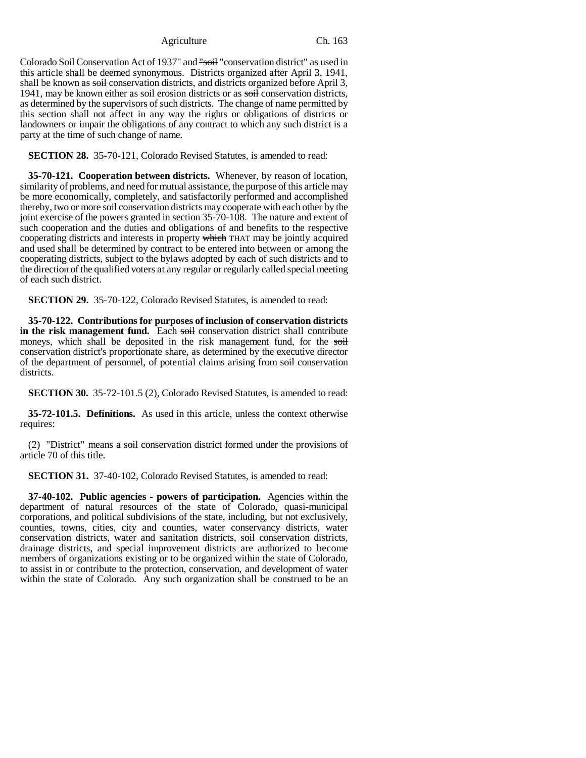Colorado Soil Conservation Act of 1937" and "soil "conservation district" as used in this article shall be deemed synonymous. Districts organized after April 3, 1941, shall be known as soil conservation districts, and districts organized before April 3, 1941, may be known either as soil erosion districts or as soil conservation districts, as determined by the supervisors of such districts. The change of name permitted by this section shall not affect in any way the rights or obligations of districts or landowners or impair the obligations of any contract to which any such district is a party at the time of such change of name.

**SECTION 28.** 35-70-121, Colorado Revised Statutes, is amended to read:

**35-70-121. Cooperation between districts.** Whenever, by reason of location, similarity of problems, and need for mutual assistance, the purpose of this article may be more economically, completely, and satisfactorily performed and accomplished thereby, two or more soil conservation districts may cooperate with each other by the joint exercise of the powers granted in section 35-70-108. The nature and extent of such cooperation and the duties and obligations of and benefits to the respective cooperating districts and interests in property which THAT may be jointly acquired and used shall be determined by contract to be entered into between or among the cooperating districts, subject to the bylaws adopted by each of such districts and to the direction of the qualified voters at any regular or regularly called special meeting of each such district.

**SECTION 29.** 35-70-122, Colorado Revised Statutes, is amended to read:

**35-70-122. Contributions for purposes of inclusion of conservation districts** in the risk management fund. Each soil conservation district shall contribute moneys, which shall be deposited in the risk management fund, for the soil conservation district's proportionate share, as determined by the executive director of the department of personnel, of potential claims arising from soil conservation districts.

**SECTION 30.** 35-72-101.5 (2), Colorado Revised Statutes, is amended to read:

**35-72-101.5. Definitions.** As used in this article, unless the context otherwise requires:

(2) "District" means a soil conservation district formed under the provisions of article 70 of this title.

**SECTION 31.** 37-40-102, Colorado Revised Statutes, is amended to read:

**37-40-102. Public agencies - powers of participation.** Agencies within the department of natural resources of the state of Colorado, quasi-municipal corporations, and political subdivisions of the state, including, but not exclusively, counties, towns, cities, city and counties, water conservancy districts, water conservation districts, water and sanitation districts, soil conservation districts, drainage districts, and special improvement districts are authorized to become members of organizations existing or to be organized within the state of Colorado, to assist in or contribute to the protection, conservation, and development of water within the state of Colorado. Any such organization shall be construed to be an